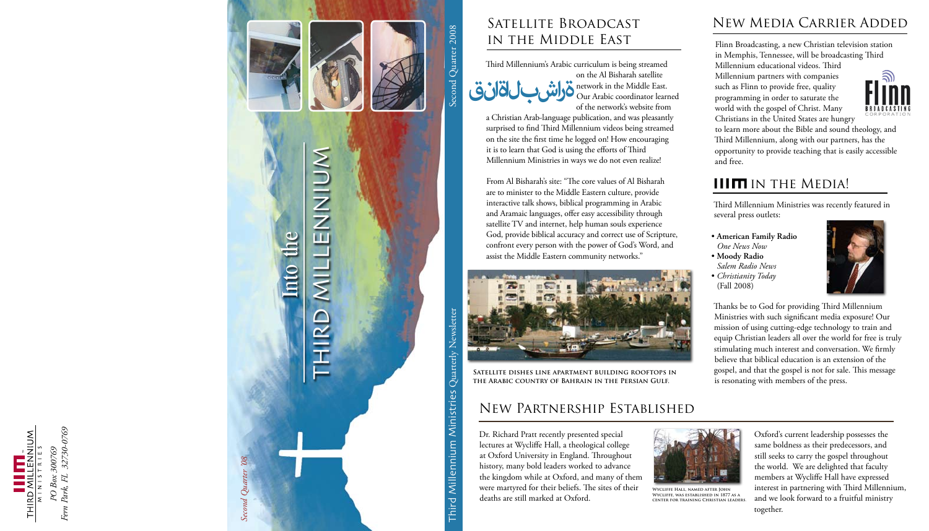





Third Millennium Ministries was recently featured in several press outlets:

• **American Family Radio** *One News Now* • **Moody Radio** *Salem Radio News* • *Christianity Today*



- 
- 
- (Fall 2008)

Thanks be to God for providing Third Millennium Ministries with such significant media exposure! Our mission of using cutting-edge technology to train and equip Christian leaders all over the world for free is truly stimulating much interest and conversation. We firmly believe that biblical education is an extension of the gospel, and that the gospel is not for sale. This message is resonating with members of the press.

surprised to find Third Millennium videos being streamed on the site the first time he logged on! How encouraging it is to learn that God is using the efforts of Third Millennium Ministries in ways we do not even realize!

Third Millennium's Arabic curriculum is being streamed on the Al Bisharah satellite network in the Middle East. Our Arabic coordinator learned of the network's website from a Christian Arab-language publication, and was pleasantly **ةراشبلا ةانق**

From Al Bisharah's site: "The core values of Al Bisharah are to minister to the Middle Eastern culture, provide interactive talk shows, biblical programming in Arabic and Aramaic languages, offer easy accessibility through satellite TV and internet, help human souls experience God, provide biblical accuracy and correct use of Scripture, confront every person with the power of God's Word, and assist the Middle Eastern community networks."

## Satellite Broadcast in the Middle East

Second Quarter 2008

**Satellite dishes line apartment building rooftops in the Arabic country of Bahrain in the Persian Gulf.**

Dr. Richard Pratt recently presented special lectures at Wycliffe Hall, a theological college at Oxford University in England. Throughout history, many bold leaders worked to advance the kingdom while at Oxford, and many of them were martyred for their beliefs. The sites of their deaths are still marked at Oxford.

Oxford's current leadership possesses the same boldness as their predecessors, and still seeks to carry the gospel throughout the world. We are delighted that faculty members at Wycliffe Hall have expressed interest in partnering with Third Millennium, and we look forward to a fruitful ministry together.

#### New Partnership Established



**Wycliffe Hall, named after John Wycliffe, was established in 1877 as a center for training Christian leaders.**

Flinn Broadcasting, a new Christian television station in Memphis, Tennessee, will be broadcasting Third Millennium educational videos. Third Millennium partners with companies

such as Flinn to provide free, quality programming in order to saturate the world with the gospel of Christ. Many Christians in the United States are hungry



to learn more about the Bible and sound theology, and Third Millennium, along with our partners, has the opportunity to provide teaching that is easily accessible

and free.

## **IIIM IN THE MEDIA!**

# New Media Carrier Added